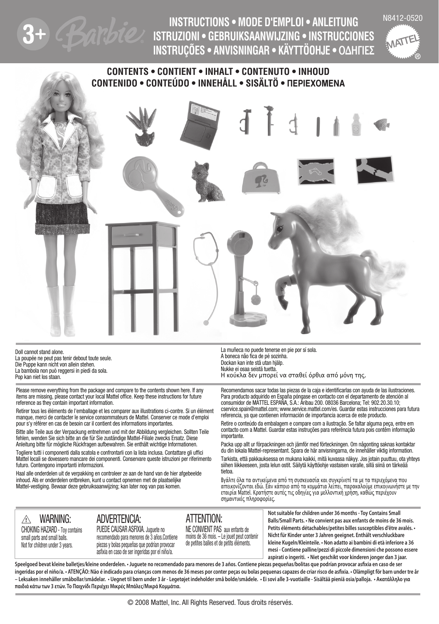

N8412-0520 **INSTRUCTIONS • MODE D'EMPLOI • ANLEITUNG ISTRUZIONI • GEBRUIKSAANWIJZING • INSTRUCCIONES INSTRUÇÕES • ANVISNINGAR • KÄYTTÖOHJE • ΟΔΗΓΙΕΣ**



## **CONTENTS • CONTIENT • INHALT • CONTENUTO • INHOUD CONTENIDO • CONTEÚDO • INNEHÅLL • SISÄLTÖ • ∏EPIEXOMENA**



Doll cannot stand alone. La poupée ne peut pas tenir debout toute seule. Die Puppe kann nicht von allein stehen. La bambola non può reggersi in piedi da sola. Pop kan niet los staan.

Please remove everything from the package and compare to the contents shown here. If any items are missing, please contact your local Mattel office. Keep these instructions for future reference as they contain important information.

Retirer tous les éléments de l'emballage et les comparer aux illustrations ci-contre. Si un élément manque, merci de contacter le service consommateurs de Mattel. Conserver ce mode d'emploi pour s'y référer en cas de besoin car il contient des informations importantes.

Bitte alle Teile aus der Verpackung entnehmen und mit der Abbildung vergleichen. Sollten Teile fehlen, wenden Sie sich bitte an die für Sie zuständige Mattel-Filiale zwecks Ersatz. Diese Anleitung bitte für mögliche Rückfragen aufbewahren. Sie enthält wichtige Informationen.

Togliere tutti i componenti dalla scatola e confrontarli con la lista inclusa. Contattare gli uffici Mattel locali se dovessero mancare dei componenti. Conservare queste istruzioni per riferimento futuro. Contengono importanti informazioni.

Haal alle onderdelen uit de verpakking en controleer ze aan de hand van de hier afgebeelde inhoud. Als er onderdelen ontbreken, kunt u contact opnemen met de plaatselijke Mattel-vestiging. Bewaar deze gebruiksaanwijzing; kan later nog van pas komen.

La muñeca no puede tenerse en pie por sí sola. A boneca não fica de pé sozinha. Dockan kan inte stå utan hjälp. Nukke ei osaa seistä tuetta. Η κούκλα δεν μπορεί να σταθεί όρθια από μόνη της.

Recomendamos sacar todas las piezas de la caja e identificarlas con ayuda de las ilustraciones. Para producto adquirido en España póngase en contacto con el departamento de atención al consumidor de MATTEL ESPAÑA, S.A.: Aribau 200. 08036 Barcelona; Tel: 902.20.30.10; cservice.spain@mattel.com; www.service.mattel.com/es. Guardar estas instrucciones para futura referencia, ya que contienen información de importancia acerca de este producto.

Retire o conteúdo da embalagem e compare com a ilustração. Se faltar alguma peça, entre em contacto com a Mattel. Guardar estas instruções para referência futura pois contêm informação importante.

Packa upp allt ur förpackningen och jämför med förteckningen. Om någonting saknas kontaktar du din lokala Mattel-representant. Spara de här anvisningarna, de innehåller viktig information.

Tarkista, että pakkauksessa on mukana kaikki, mitä kuvassa näkyy. Jos jotain puuttuu, ota yhteys siihen liikkeeseen, josta lelun ostit. Säilytä käyttöohje vastaisen varalle, sillä siinä on tärkeää tietoa.

Βγάλτε όλα τα αντικείμενα από τη συσκευασία και συγκρίνετέ τα με τα περιεχόμενα που απεικονίζονται εδώ. Εάν κάποιο από τα κομμάτια λείπει, παρακαλούμε επικοινωνήστε με την εταιρία Mattel. Κρατήστε αυτές τις οδηγίες για μελλοντική χρήση, καθώς περιέχουν σημαντικές πληροφορίες.

CHOKING HAZARD – Toy contains small parts and small balls. Not for children under 3 years. recomendado para menores de 3 años.Contiene piezas y bolas pequeñas que podrían provocar asfixia en caso de ser ingeridas por el niño/a.

<u>}</u> warning: advertencia: altention: PUEDE CAUSAR ASFIXIA. Juguete no

NE CONVIENT PAS aux enfants de moins de 36 mois. – Le jouet peut contenir de petites balles et de petits éléments.

**Not suitable for children under 36 months - Toy Contains Small Balls/Small Parts. • Ne convient pas aux enfants de moins de 36 mois. Petits éléments détachables/petites billes susceptibles d'être avalés. • Nicht für Kinder unter 3 Jahren geeignet. Enthält verschluckbare kleine Kugeln/Kleinteile. • Non adatto ai bambini di età inferiore a 36 mesi - Contiene palline/pezzi di piccole dimensioni che possono essere aspirati o ingeriti. • Niet geschikt voor kinderen jonger dan 3 jaar.** 

**Speelgoed bevat kleine balletjes/kleine onderdelen. • Juguete no recomendado para menores de 3 años. Contiene piezas pequeñas/bolitas que podrían provocar asfixia en caso de ser ingeridas por el niño/a. • ATENÇÃO: Não é indicado para crianças com menos de 36 meses por conter peças ou bolas pequenas capazes de criar risco de asfixia. • Olämpligt för barn under tre år – Leksaken innehåller småbollar/smådelar. • Uegnet til børn under 3 år - Legetøjet indeholder små bolde/smådele. • Ei sovi alle 3-vuotiaille - Sisältää pieniä osia/palloja. • Ακατάλληλο για παιδιά κάτω των 3 ετών. Το Παιχνίδι Περιέχει Μικρές Μπάλες/Μικρά Κομμάτια.**